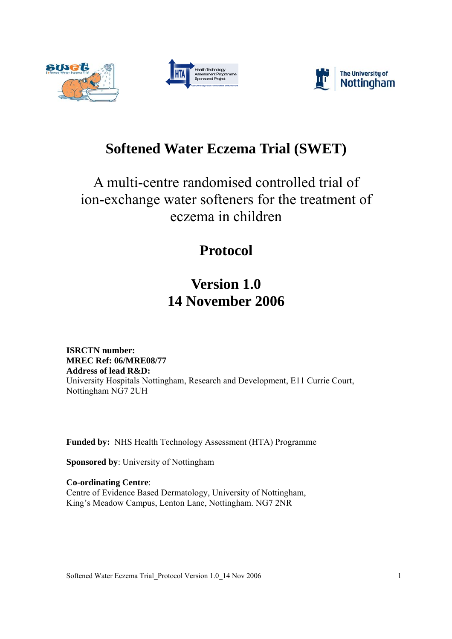





# **Softened Water Eczema Trial (SWET)**

# A multi-centre randomised controlled trial of ion-exchange water softeners for the treatment of eczema in children

# **Protocol**

# **Version 1.0 14 November 2006**

**ISRCTN number: MREC Ref: 06/MRE08/77 Address of lead R&D:**  University Hospitals Nottingham, Research and Development, E11 Currie Court, Nottingham NG7 2UH

**Funded by:** NHS Health Technology Assessment (HTA) Programme

**Sponsored by**: University of Nottingham

**Co-ordinating Centre**: Centre of Evidence Based Dermatology, University of Nottingham, King's Meadow Campus, Lenton Lane, Nottingham. NG7 2NR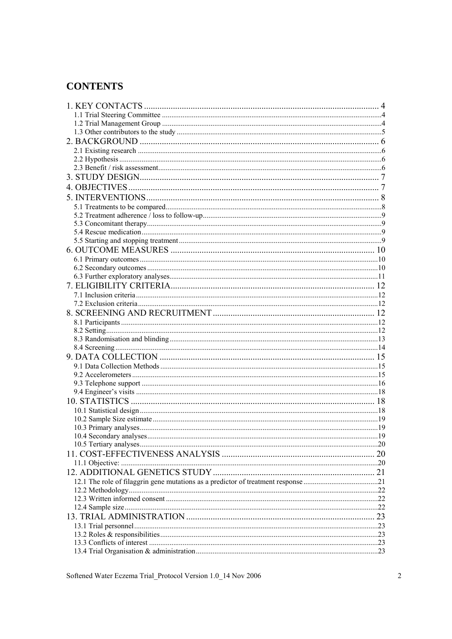### **CONTENTS**

| 23 |
|----|
|    |
|    |
|    |
|    |

Softened Water Eczema Trial\_Protocol Version 1.0\_14 Nov 2006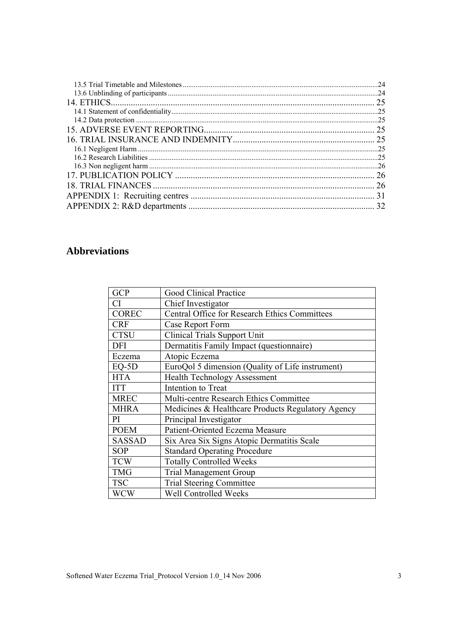| .24           |
|---------------|
|               |
| 25            |
|               |
|               |
| . 25          |
| 25            |
|               |
|               |
|               |
| <sup>26</sup> |
|               |
|               |
| 32            |

## **Abbreviations**

| <b>GCP</b>    | <b>Good Clinical Practice</b>                        |
|---------------|------------------------------------------------------|
| <b>CI</b>     | Chief Investigator                                   |
| <b>COREC</b>  | <b>Central Office for Research Ethics Committees</b> |
| <b>CRF</b>    | Case Report Form                                     |
| <b>CTSU</b>   | <b>Clinical Trials Support Unit</b>                  |
| <b>DFI</b>    | Dermatitis Family Impact (questionnaire)             |
| Eczema        | Atopic Eczema                                        |
| $EQ-5D$       | EuroQol 5 dimension (Quality of Life instrument)     |
| <b>HTA</b>    | <b>Health Technology Assessment</b>                  |
| <b>ITT</b>    | Intention to Treat                                   |
| <b>MREC</b>   | Multi-centre Research Ethics Committee               |
| <b>MHRA</b>   | Medicines & Healthcare Products Regulatory Agency    |
| PI            | Principal Investigator                               |
| <b>POEM</b>   | Patient-Oriented Eczema Measure                      |
| <b>SASSAD</b> | Six Area Six Signs Atopic Dermatitis Scale           |
| <b>SOP</b>    | <b>Standard Operating Procedure</b>                  |
| <b>TCW</b>    | <b>Totally Controlled Weeks</b>                      |
| <b>TMG</b>    | <b>Trial Management Group</b>                        |
| <b>TSC</b>    | <b>Trial Steering Committee</b>                      |
| <b>WCW</b>    | Well Controlled Weeks                                |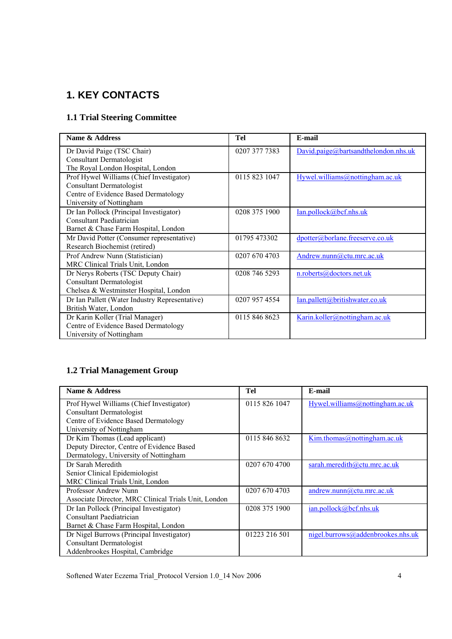## **1. KEY CONTACTS**

### **1.1 Trial Steering Committee**

| Name & Address                                 | Tel           | E-mail                               |
|------------------------------------------------|---------------|--------------------------------------|
| Dr David Paige (TSC Chair)                     | 0207 377 7383 | David.paige@bartsandthelondon.nhs.uk |
| <b>Consultant Dermatologist</b>                |               |                                      |
| The Royal London Hospital, London              |               |                                      |
| Prof Hywel Williams (Chief Investigator)       | 0115 823 1047 | Hywel.williams@nottingham.ac.uk      |
| <b>Consultant Dermatologist</b>                |               |                                      |
| Centre of Evidence Based Dermatology           |               |                                      |
| University of Nottingham                       |               |                                      |
| Dr Ian Pollock (Principal Investigator)        | 0208 375 1900 | Ian.pollock@bcf.nhs.uk               |
| Consultant Paediatrician                       |               |                                      |
| Barnet & Chase Farm Hospital, London           |               |                                      |
| Mr David Potter (Consumer representative)      | 01795 473302  | dpotter@borlane.freeserve.co.uk      |
| Research Biochemist (retired)                  |               |                                      |
| Prof Andrew Nunn (Statistician)                | 0207 670 4703 | Andrew.nunn@ctu.mrc.ac.uk            |
| MRC Clinical Trials Unit, London               |               |                                      |
| Dr Nerys Roberts (TSC Deputy Chair)            | 0208 746 5293 | n.roberts@doctors.net.uk             |
| <b>Consultant Dermatologist</b>                |               |                                      |
| Chelsea & Westminster Hospital, London         |               |                                      |
| Dr Ian Pallett (Water Industry Representative) | 0207 957 4554 | Ian.pallett@britishwater.co.uk       |
| British Water, London                          |               |                                      |
| Dr Karin Koller (Trial Manager)                | 0115 846 8623 | Karin.koller@nottingham.ac.uk        |
| Centre of Evidence Based Dermatology           |               |                                      |
| University of Nottingham                       |               |                                      |

### **1.2 Trial Management Group**

| Name & Address                                       | Tel           | E-mail                            |
|------------------------------------------------------|---------------|-----------------------------------|
| Prof Hywel Williams (Chief Investigator)             | 0115 826 1047 | Hywel.williams@nottingham.ac.uk   |
| <b>Consultant Dermatologist</b>                      |               |                                   |
| Centre of Evidence Based Dermatology                 |               |                                   |
| University of Nottingham                             |               |                                   |
| Dr Kim Thomas (Lead applicant)                       | 0115 846 8632 | Kim.thomas@nottingham.ac.uk       |
| Deputy Director, Centre of Evidence Based            |               |                                   |
| Dermatology, University of Nottingham                |               |                                   |
| Dr Sarah Meredith                                    | 0207 670 4700 | sarah.meredith@ctu.mrc.ac.uk      |
| Senior Clinical Epidemiologist                       |               |                                   |
| MRC Clinical Trials Unit, London                     |               |                                   |
| Professor Andrew Nunn                                | 0207 670 4703 | andrew.nunn@ctu.mrc.ac.uk         |
| Associate Director, MRC Clinical Trials Unit, London |               |                                   |
| Dr Ian Pollock (Principal Investigator)              | 0208 375 1900 | $ian_{.}pollock@bcf_{.}nhsuk$     |
| Consultant Paediatrician                             |               |                                   |
| Barnet & Chase Farm Hospital, London                 |               |                                   |
| Dr Nigel Burrows (Principal Investigator)            | 01223 216 501 | nigel.burrows@addenbrookes.nhs.uk |
| <b>Consultant Dermatologist</b>                      |               |                                   |
| Addenbrookes Hospital, Cambridge                     |               |                                   |

Softened Water Eczema Trial\_Protocol Version 1.0\_14 Nov 2006 4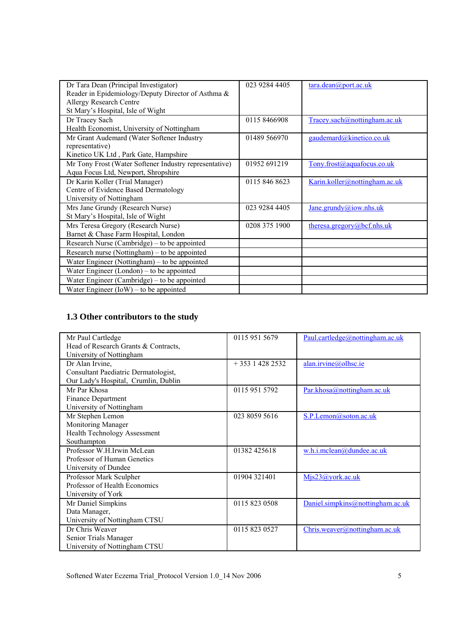| Dr Tara Dean (Principal Investigator)                  | 023 9284 4405 | $\frac{\tan \theta}{\tan \theta}$ port.ac.uk |
|--------------------------------------------------------|---------------|----------------------------------------------|
| Reader in Epidemiology/Deputy Director of Asthma &     |               |                                              |
| <b>Allergy Research Centre</b>                         |               |                                              |
| St Mary's Hospital, Isle of Wight                      |               |                                              |
| Dr Tracey Sach                                         | 01158466908   | Tracey.sach@nottingham.ac.uk                 |
| Health Economist, University of Nottingham             |               |                                              |
| Mr Grant Audemard (Water Softener Industry             | 01489 566970  | gaudemard@kinetico.co.uk                     |
| representative)                                        |               |                                              |
| Kinetico UK Ltd, Park Gate, Hampshire                  |               |                                              |
| Mr Tony Frost (Water Softener Industry representative) | 01952 691219  | Tony.frost@aquafocus.co.uk                   |
| Aqua Focus Ltd, Newport, Shropshire                    |               |                                              |
| Dr Karin Koller (Trial Manager)                        | 0115 846 8623 | Karin.koller@nottingham.ac.uk                |
| Centre of Evidence Based Dermatology                   |               |                                              |
| University of Nottingham                               |               |                                              |
| Mrs Jane Grundy (Research Nurse)                       | 023 9284 4405 | Jane.grundy@iow.nhs.uk                       |
| St Mary's Hospital, Isle of Wight                      |               |                                              |
| Mrs Teresa Gregory (Research Nurse)                    | 0208 375 1900 | theresa.gregory@bcf.nhs.uk                   |
| Barnet & Chase Farm Hospital, London                   |               |                                              |
| Research Nurse (Cambridge) – to be appointed           |               |                                              |
| Research nurse (Nottingham) – to be appointed          |               |                                              |
| Water Engineer (Nottingham) – to be appointed          |               |                                              |
| Water Engineer (London) – to be appointed              |               |                                              |
| Water Engineer (Cambridge) – to be appointed           |               |                                              |
| Water Engineer $(IoW)$ – to be appointed               |               |                                              |

### **1.3 Other contributors to the study**

| Mr Paul Cartledge                    | 0115 951 5679     | Paul.cartledge@nottingham.ac.uk  |
|--------------------------------------|-------------------|----------------------------------|
| Head of Research Grants & Contracts, |                   |                                  |
| University of Nottingham             |                   |                                  |
| Dr Alan Irvine,                      | $+353$ 1 428 2532 | alan.irvine@olhsc.ie             |
| Consultant Paediatric Dermatologist, |                   |                                  |
| Our Lady's Hospital, Crumlin, Dublin |                   |                                  |
| Mr Par Khosa                         | 0115 951 5792     | Par.khosa@nottingham.ac.uk       |
| Finance Department                   |                   |                                  |
| University of Nottingham             |                   |                                  |
| Mr Stephen Lemon                     | 023 8059 5616     | S.P.Lemon@soton.ac.uk            |
| Monitoring Manager                   |                   |                                  |
| <b>Health Technology Assessment</b>  |                   |                                  |
| Southampton                          |                   |                                  |
| Professor W.H.Irwin McLean           | 01382 425618      | w.h.i.mclean@dundee.ac.uk        |
| Professor of Human Genetics          |                   |                                  |
| University of Dundee                 |                   |                                  |
| Professor Mark Sculpher              | 01904 321401      | Mjs23@york.ac.uk                 |
| Professor of Health Economics        |                   |                                  |
| University of York                   |                   |                                  |
| Mr Daniel Simpkins                   | 0115 823 0508     | Daniel.simpkins@nottingham.ac.uk |
| Data Manager,                        |                   |                                  |
| University of Nottingham CTSU        |                   |                                  |
| Dr Chris Weaver                      | 0115 823 0527     | Chris.weaver@nottingham.ac.uk    |
| Senior Trials Manager                |                   |                                  |
| University of Nottingham CTSU        |                   |                                  |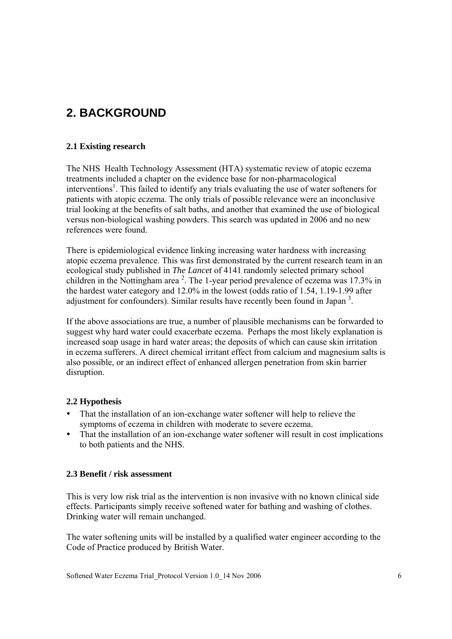# **2. BACKGROUND**

### **2.1 Existing research**

The NHS Health Technology Assessment (HTA) systematic review of atopic eczema treatments included a chapter on the evidence base for non-pharmacological interventions<sup>1</sup>. This failed to identify any trials evaluating the use of water softeners for patients with atopic eczema. The only trials of possible relevance were an inconclusive trial looking at the benefits of salt baths, and another that examined the use of biological versus non-biological washing powders. This search was updated in 2006 and no new references were found.

There is epidemiological evidence linking increasing water hardness with increasing atopic eczema prevalence. This was first demonstrated by the current research team in an ecological study published in *The Lancet* of 4141 randomly selected primary school children in the Nottingham area<sup>2</sup>. The 1-year period prevalence of eczema was 17.3% in the hardest water category and 12.0% in the lowest (odds ratio of 1.54, 1.19-1.99 after adjustment for confounders). Similar results have recently been found in Japan<sup>3</sup>.

If the above associations are true, a number of plausible mechanisms can be forwarded to suggest why hard water could exacerbate eczema. Perhaps the most likely explanation is increased soap usage in hard water areas; the deposits of which can cause skin irritation in eczema sufferers. A direct chemical irritant effect from calcium and magnesium salts is also possible, or an indirect effect of enhanced allergen penetration from skin barrier disruption.

### **2.2 Hypothesis**

- That the installation of an ion-exchange water softener will help to relieve the symptoms of eczema in children with moderate to severe eczema.
- That the installation of an ion-exchange water softener will result in cost implications to both patients and the NHS.

#### **2.3 Benefit / risk assessment**

This is very low risk trial as the intervention is non invasive with no known clinical side effects. Participants simply receive softened water for bathing and washing of clothes. Drinking water will remain unchanged.

The water softening units will be installed by a qualified water engineer according to the Code of Practice produced by British Water.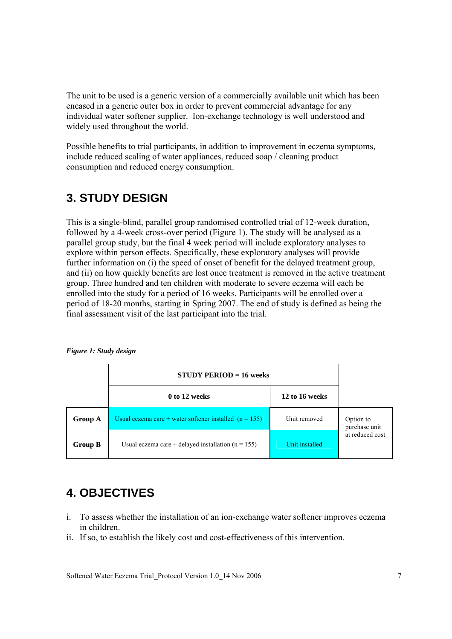The unit to be used is a generic version of a commercially available unit which has been encased in a generic outer box in order to prevent commercial advantage for any individual water softener supplier. Ion-exchange technology is well understood and widely used throughout the world.

Possible benefits to trial participants, in addition to improvement in eczema symptoms, include reduced scaling of water appliances, reduced soap / cleaning product consumption and reduced energy consumption.

# **3. STUDY DESIGN**

This is a single-blind, parallel group randomised controlled trial of 12-week duration, followed by a 4-week cross-over period (Figure 1). The study will be analysed as a parallel group study, but the final 4 week period will include exploratory analyses to explore within person effects. Specifically, these exploratory analyses will provide further information on (i) the speed of onset of benefit for the delayed treatment group, and (ii) on how quickly benefits are lost once treatment is removed in the active treatment group. Three hundred and ten children with moderate to severe eczema will each be enrolled into the study for a period of 16 weeks. Participants will be enrolled over a period of 18-20 months, starting in Spring 2007. The end of study is defined as being the final assessment visit of the last participant into the trial.

|                | $STUDY PERIOD = 16 weeks$                                |                |                            |
|----------------|----------------------------------------------------------|----------------|----------------------------|
|                | 0 to 12 weeks                                            | 12 to 16 weeks |                            |
| Group A        | Usual eczema care + water softener installed $(n = 155)$ | Unit removed   | Option to<br>purchase unit |
| <b>Group B</b> | Usual eczema care + delayed installation $(n = 155)$     | Unit installed | at reduced cost            |

*Figure 1: Study design* 

## **4. OBJECTIVES**

- i. To assess whether the installation of an ion-exchange water softener improves eczema in children.
- ii. If so, to establish the likely cost and cost-effectiveness of this intervention.

Softened Water Eczema Trial\_Protocol Version 1.0\_14 Nov 2006 7 7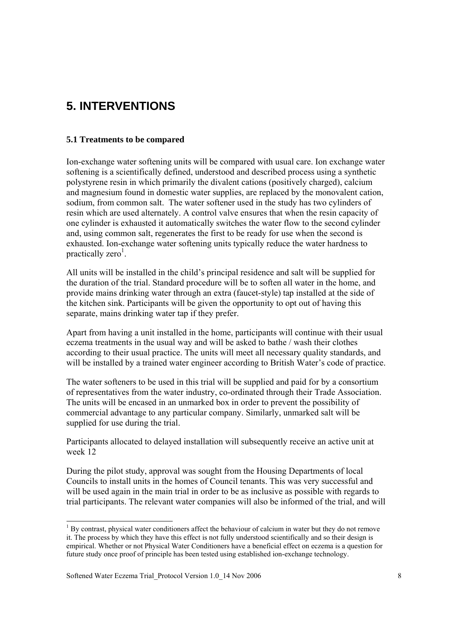# **5. INTERVENTIONS**

#### **5.1 Treatments to be compared**

Ion-exchange water softening units will be compared with usual care. Ion exchange water softening is a scientifically defined, understood and described process using a synthetic polystyrene resin in which primarily the divalent cations (positively charged), calcium and magnesium found in domestic water supplies, are replaced by the monovalent cation, sodium, from common salt. The water softener used in the study has two cylinders of resin which are used alternately. A control valve ensures that when the resin capacity of one cylinder is exhausted it automatically switches the water flow to the second cylinder and, using common salt, regenerates the first to be ready for use when the second is exhausted. Ion-exchange water softening units typically reduce the water hardness to practically zero<sup>1</sup>.

All units will be installed in the child's principal residence and salt will be supplied for the duration of the trial. Standard procedure will be to soften all water in the home, and provide mains drinking water through an extra (faucet-style) tap installed at the side of the kitchen sink. Participants will be given the opportunity to opt out of having this separate, mains drinking water tap if they prefer.

Apart from having a unit installed in the home, participants will continue with their usual eczema treatments in the usual way and will be asked to bathe / wash their clothes according to their usual practice. The units will meet all necessary quality standards, and will be installed by a trained water engineer according to British Water's code of practice.

The water softeners to be used in this trial will be supplied and paid for by a consortium of representatives from the water industry, co-ordinated through their Trade Association. The units will be encased in an unmarked box in order to prevent the possibility of commercial advantage to any particular company. Similarly, unmarked salt will be supplied for use during the trial.

Participants allocated to delayed installation will subsequently receive an active unit at week 12

During the pilot study, approval was sought from the Housing Departments of local Councils to install units in the homes of Council tenants. This was very successful and will be used again in the main trial in order to be as inclusive as possible with regards to trial participants. The relevant water companies will also be informed of the trial, and will

l

<sup>&</sup>lt;sup>1</sup> By contrast, physical water conditioners affect the behaviour of calcium in water but they do not remove it. The process by which they have this effect is not fully understood scientifically and so their design is empirical. Whether or not Physical Water Conditioners have a beneficial effect on eczema is a question for future study once proof of principle has been tested using established ion-exchange technology.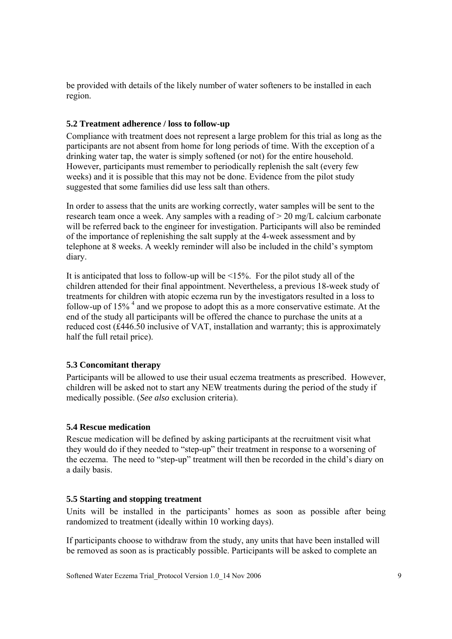be provided with details of the likely number of water softeners to be installed in each region.

### **5.2 Treatment adherence / loss to follow-up**

Compliance with treatment does not represent a large problem for this trial as long as the participants are not absent from home for long periods of time. With the exception of a drinking water tap, the water is simply softened (or not) for the entire household. However, participants must remember to periodically replenish the salt (every few weeks) and it is possible that this may not be done. Evidence from the pilot study suggested that some families did use less salt than others.

In order to assess that the units are working correctly, water samples will be sent to the research team once a week. Any samples with a reading of > 20 mg/L calcium carbonate will be referred back to the engineer for investigation. Participants will also be reminded of the importance of replenishing the salt supply at the 4-week assessment and by telephone at 8 weeks. A weekly reminder will also be included in the child's symptom diary.

It is anticipated that loss to follow-up will be <15%. For the pilot study all of the children attended for their final appointment. Nevertheless, a previous 18-week study of treatments for children with atopic eczema run by the investigators resulted in a loss to follow-up of  $15\%$ <sup>4</sup> and we propose to adopt this as a more conservative estimate. At the end of the study all participants will be offered the chance to purchase the units at a reduced cost (£446.50 inclusive of VAT, installation and warranty; this is approximately half the full retail price).

### **5.3 Concomitant therapy**

Participants will be allowed to use their usual eczema treatments as prescribed. However, children will be asked not to start any NEW treatments during the period of the study if medically possible. (*See also* exclusion criteria).

#### **5.4 Rescue medication**

Rescue medication will be defined by asking participants at the recruitment visit what they would do if they needed to "step-up" their treatment in response to a worsening of the eczema. The need to "step-up" treatment will then be recorded in the child's diary on a daily basis.

#### **5.5 Starting and stopping treatment**

Units will be installed in the participants' homes as soon as possible after being randomized to treatment (ideally within 10 working days).

If participants choose to withdraw from the study, any units that have been installed will be removed as soon as is practicably possible. Participants will be asked to complete an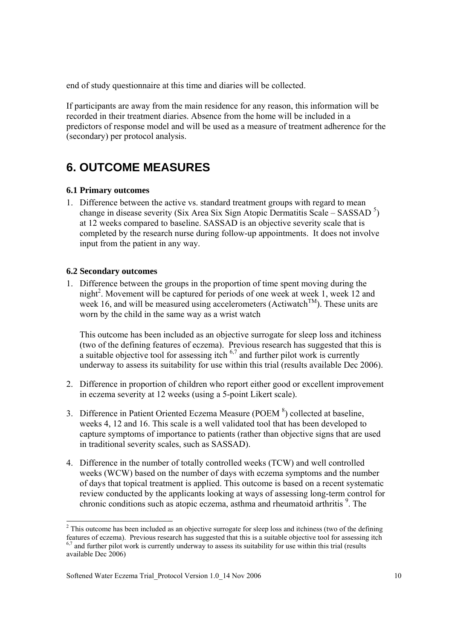end of study questionnaire at this time and diaries will be collected.

If participants are away from the main residence for any reason, this information will be recorded in their treatment diaries. Absence from the home will be included in a predictors of response model and will be used as a measure of treatment adherence for the (secondary) per protocol analysis.

# **6. OUTCOME MEASURES**

#### **6.1 Primary outcomes**

1. Difference between the active vs. standard treatment groups with regard to mean change in disease severity (Six Area Six Sign Atopic Dermatitis Scale – SASSAD<sup>5</sup>) at 12 weeks compared to baseline. SASSAD is an objective severity scale that is completed by the research nurse during follow-up appointments. It does not involve input from the patient in any way.

#### **6.2 Secondary outcomes**

l

1. Difference between the groups in the proportion of time spent moving during the night<sup>2</sup>. Movement will be captured for periods of one week at week 1, week 12 and week 16, and will be measured using accelerometers (Actiwatch<sup>TM</sup>). These units are worn by the child in the same way as a wrist watch

This outcome has been included as an objective surrogate for sleep loss and itchiness (two of the defining features of eczema). Previous research has suggested that this is a suitable objective tool for assessing itch  $6.7$  and further pilot work is currently underway to assess its suitability for use within this trial (results available Dec 2006).

- 2. Difference in proportion of children who report either good or excellent improvement in eczema severity at 12 weeks (using a 5-point Likert scale).
- 3. Difference in Patient Oriented Eczema Measure (POEM $8$ ) collected at baseline, weeks 4, 12 and 16. This scale is a well validated tool that has been developed to capture symptoms of importance to patients (rather than objective signs that are used in traditional severity scales, such as SASSAD).
- 4. Difference in the number of totally controlled weeks (TCW) and well controlled weeks (WCW) based on the number of days with eczema symptoms and the number of days that topical treatment is applied. This outcome is based on a recent systematic review conducted by the applicants looking at ways of assessing long-term control for chronic conditions such as atopic eczema, asthma and rheumatoid arthritis <sup>9</sup>. The

 $2^2$  This outcome has been included as an objective surrogate for sleep loss and itchiness (two of the defining features of eczema). Previous research has suggested that this is a suitable objective tool for assessing itch  $6,7$  and further pilot work is currently underway to assess its suitability for use within this trial (results available Dec 2006)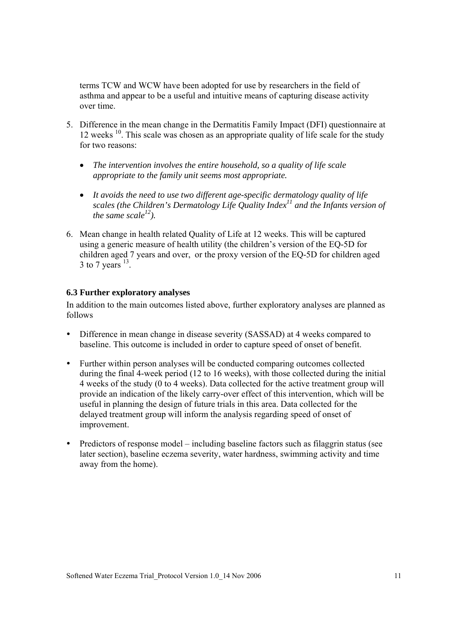terms TCW and WCW have been adopted for use by researchers in the field of asthma and appear to be a useful and intuitive means of capturing disease activity over time.

- 5. Difference in the mean change in the Dermatitis Family Impact (DFI) questionnaire at 12 weeks  $10$ . This scale was chosen as an appropriate quality of life scale for the study for two reasons:
	- *The intervention involves the entire household, so a quality of life scale appropriate to the family unit seems most appropriate.*
	- *It avoids the need to use two different age-specific dermatology quality of life scales (the Children's Dermatology Life Quality Index<sup>11</sup> and the Infants version of the same scale*<sup>12</sup>).
- 6. Mean change in health related Quality of Life at 12 weeks. This will be captured using a generic measure of health utility (the children's version of the EQ-5D for children aged 7 years and over, or the proxy version of the EQ-5D for children aged 3 to 7 years  $^{13}$ .

#### **6.3 Further exploratory analyses**

In addition to the main outcomes listed above, further exploratory analyses are planned as follows

- Difference in mean change in disease severity (SASSAD) at 4 weeks compared to baseline. This outcome is included in order to capture speed of onset of benefit.
- Further within person analyses will be conducted comparing outcomes collected during the final 4-week period (12 to 16 weeks), with those collected during the initial 4 weeks of the study (0 to 4 weeks). Data collected for the active treatment group will provide an indication of the likely carry-over effect of this intervention, which will be useful in planning the design of future trials in this area. Data collected for the delayed treatment group will inform the analysis regarding speed of onset of improvement.
- Predictors of response model including baseline factors such as filaggrin status (see later section), baseline eczema severity, water hardness, swimming activity and time away from the home).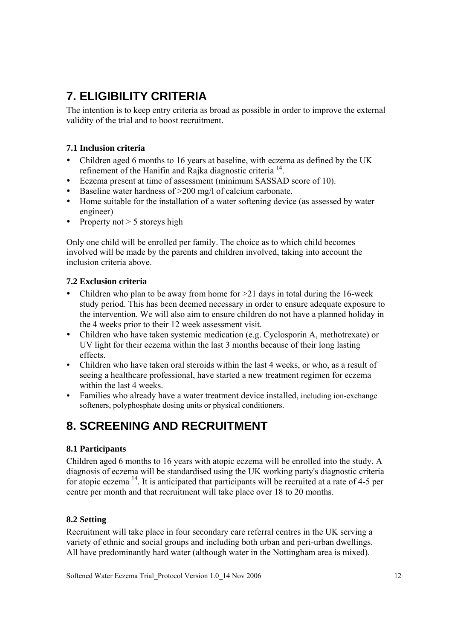# **7. ELIGIBILITY CRITERIA**

The intention is to keep entry criteria as broad as possible in order to improve the external validity of the trial and to boost recruitment.

### **7.1 Inclusion criteria**

- Children aged 6 months to 16 years at baseline, with eczema as defined by the UK refinement of the Hanifin and Rajka diagnostic criteria 14.
- y Eczema present at time of assessment (minimum SASSAD score of 10).
- Baseline water hardness of  $>200$  mg/l of calcium carbonate.
- Home suitable for the installation of a water softening device (as assessed by water engineer)
- Property not  $> 5$  storeys high

Only one child will be enrolled per family. The choice as to which child becomes involved will be made by the parents and children involved, taking into account the inclusion criteria above.

### **7.2 Exclusion criteria**

- Children who plan to be away from home for  $>21$  days in total during the 16-week study period. This has been deemed necessary in order to ensure adequate exposure to the intervention. We will also aim to ensure children do not have a planned holiday in the 4 weeks prior to their 12 week assessment visit.
- Children who have taken systemic medication (e.g. Cyclosporin A, methotrexate) or UV light for their eczema within the last 3 months because of their long lasting effects.
- Children who have taken oral steroids within the last 4 weeks, or who, as a result of seeing a healthcare professional, have started a new treatment regimen for eczema within the last 4 weeks.
- Families who already have a water treatment device installed, including ion-exchange softeners, polyphosphate dosing units or physical conditioners.

# **8. SCREENING AND RECRUITMENT**

### **8.1 Participants**

Children aged 6 months to 16 years with atopic eczema will be enrolled into the study. A diagnosis of eczema will be standardised using the UK working party's diagnostic criteria for atopic eczema  $^{14}$ . It is anticipated that participants will be recruited at a rate of 4-5 per centre per month and that recruitment will take place over 18 to 20 months.

### **8.2 Setting**

Recruitment will take place in four secondary care referral centres in the UK serving a variety of ethnic and social groups and including both urban and peri-urban dwellings. All have predominantly hard water (although water in the Nottingham area is mixed).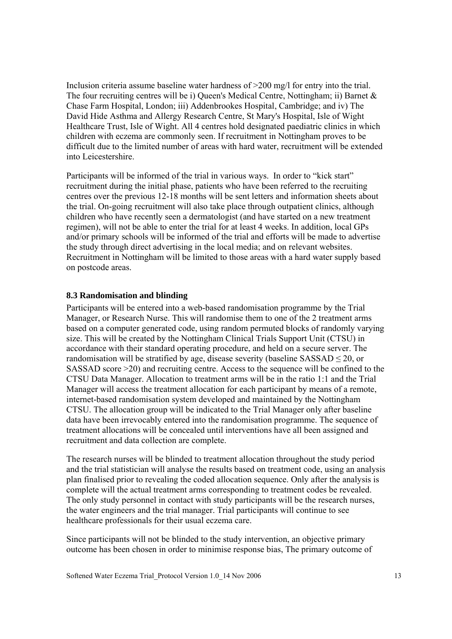Inclusion criteria assume baseline water hardness of >200 mg/l for entry into the trial. The four recruiting centres will be i) Queen's Medical Centre, Nottingham; ii) Barnet & Chase Farm Hospital, London; iii) Addenbrookes Hospital, Cambridge; and iv) The David Hide Asthma and Allergy Research Centre, St Mary's Hospital, Isle of Wight Healthcare Trust, Isle of Wight. All 4 centres hold designated paediatric clinics in which children with eczema are commonly seen. If recruitment in Nottingham proves to be difficult due to the limited number of areas with hard water, recruitment will be extended into Leicestershire.

Participants will be informed of the trial in various ways. In order to "kick start" recruitment during the initial phase, patients who have been referred to the recruiting centres over the previous 12-18 months will be sent letters and information sheets about the trial. On-going recruitment will also take place through outpatient clinics, although children who have recently seen a dermatologist (and have started on a new treatment regimen), will not be able to enter the trial for at least 4 weeks. In addition, local GPs and/or primary schools will be informed of the trial and efforts will be made to advertise the study through direct advertising in the local media; and on relevant websites. Recruitment in Nottingham will be limited to those areas with a hard water supply based on postcode areas.

#### **8.3 Randomisation and blinding**

Participants will be entered into a web-based randomisation programme by the Trial Manager, or Research Nurse. This will randomise them to one of the 2 treatment arms based on a computer generated code, using random permuted blocks of randomly varying size. This will be created by the Nottingham Clinical Trials Support Unit (CTSU) in accordance with their standard operating procedure, and held on a secure server. The randomisation will be stratified by age, disease severity (baseline  $SASSAD \leq 20$ , or SASSAD score >20) and recruiting centre. Access to the sequence will be confined to the CTSU Data Manager. Allocation to treatment arms will be in the ratio 1:1 and the Trial Manager will access the treatment allocation for each participant by means of a remote, internet-based randomisation system developed and maintained by the Nottingham CTSU. The allocation group will be indicated to the Trial Manager only after baseline data have been irrevocably entered into the randomisation programme. The sequence of treatment allocations will be concealed until interventions have all been assigned and recruitment and data collection are complete.

The research nurses will be blinded to treatment allocation throughout the study period and the trial statistician will analyse the results based on treatment code, using an analysis plan finalised prior to revealing the coded allocation sequence. Only after the analysis is complete will the actual treatment arms corresponding to treatment codes be revealed. The only study personnel in contact with study participants will be the research nurses, the water engineers and the trial manager. Trial participants will continue to see healthcare professionals for their usual eczema care.

Since participants will not be blinded to the study intervention, an objective primary outcome has been chosen in order to minimise response bias, The primary outcome of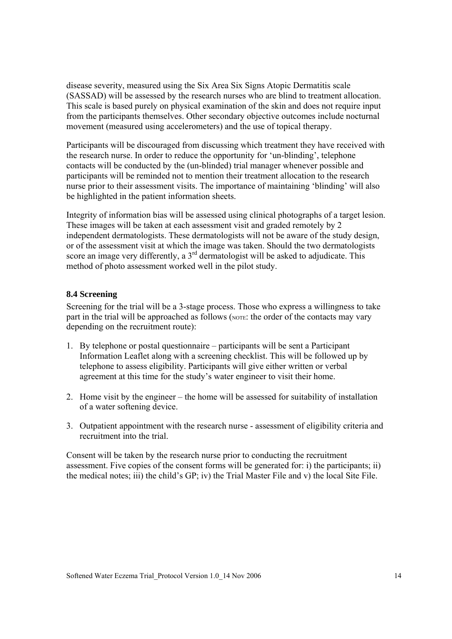disease severity, measured using the Six Area Six Signs Atopic Dermatitis scale (SASSAD) will be assessed by the research nurses who are blind to treatment allocation. This scale is based purely on physical examination of the skin and does not require input from the participants themselves. Other secondary objective outcomes include nocturnal movement (measured using accelerometers) and the use of topical therapy.

Participants will be discouraged from discussing which treatment they have received with the research nurse. In order to reduce the opportunity for 'un-blinding', telephone contacts will be conducted by the (un-blinded) trial manager whenever possible and participants will be reminded not to mention their treatment allocation to the research nurse prior to their assessment visits. The importance of maintaining 'blinding' will also be highlighted in the patient information sheets.

Integrity of information bias will be assessed using clinical photographs of a target lesion. These images will be taken at each assessment visit and graded remotely by 2 independent dermatologists. These dermatologists will not be aware of the study design, or of the assessment visit at which the image was taken. Should the two dermatologists score an image very differently, a  $3<sup>rd</sup>$  dermatologist will be asked to adjudicate. This method of photo assessment worked well in the pilot study.

### **8.4 Screening**

Screening for the trial will be a 3-stage process. Those who express a willingness to take part in the trial will be approached as follows (NOTE: the order of the contacts may vary depending on the recruitment route):

- 1. By telephone or postal questionnaire participants will be sent a Participant Information Leaflet along with a screening checklist. This will be followed up by telephone to assess eligibility. Participants will give either written or verbal agreement at this time for the study's water engineer to visit their home.
- 2. Home visit by the engineer the home will be assessed for suitability of installation of a water softening device.
- 3. Outpatient appointment with the research nurse assessment of eligibility criteria and recruitment into the trial.

Consent will be taken by the research nurse prior to conducting the recruitment assessment. Five copies of the consent forms will be generated for: i) the participants; ii) the medical notes; iii) the child's GP; iv) the Trial Master File and v) the local Site File.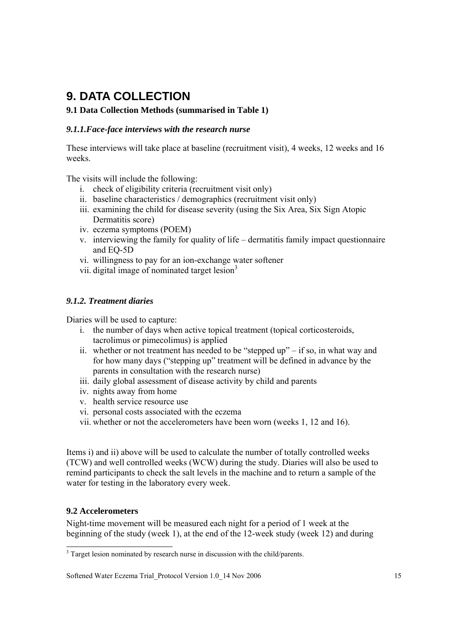# **9. DATA COLLECTION**

### **9.1 Data Collection Methods (summarised in Table 1)**

### *9.1.1.Face-face interviews with the research nurse*

These interviews will take place at baseline (recruitment visit), 4 weeks, 12 weeks and 16 weeks.

The visits will include the following:

- i. check of eligibility criteria (recruitment visit only)
- ii. baseline characteristics / demographics (recruitment visit only)
- iii. examining the child for disease severity (using the Six Area, Six Sign Atopic Dermatitis score)
- iv. eczema symptoms (POEM)
- v. interviewing the family for quality of life dermatitis family impact questionnaire and EQ-5D
- vi. willingness to pay for an ion-exchange water softener
- vii. digital image of nominated target  $lesion<sup>3</sup>$

### *9.1.2. Treatment diaries*

Diaries will be used to capture:

- i. the number of days when active topical treatment (topical corticosteroids, tacrolimus or pimecolimus) is applied
- ii. whether or not treatment has needed to be "stepped up" if so, in what way and for how many days ("stepping up" treatment will be defined in advance by the parents in consultation with the research nurse)
- iii. daily global assessment of disease activity by child and parents
- iv. nights away from home
- v. health service resource use
- vi. personal costs associated with the eczema
- vii. whether or not the accelerometers have been worn (weeks 1, 12 and 16).

Items i) and ii) above will be used to calculate the number of totally controlled weeks (TCW) and well controlled weeks (WCW) during the study. Diaries will also be used to remind participants to check the salt levels in the machine and to return a sample of the water for testing in the laboratory every week.

### **9.2 Accelerometers**

 $\overline{a}$ 

Night-time movement will be measured each night for a period of 1 week at the beginning of the study (week 1), at the end of the 12-week study (week 12) and during

<sup>&</sup>lt;sup>3</sup> Target lesion nominated by research nurse in discussion with the child/parents.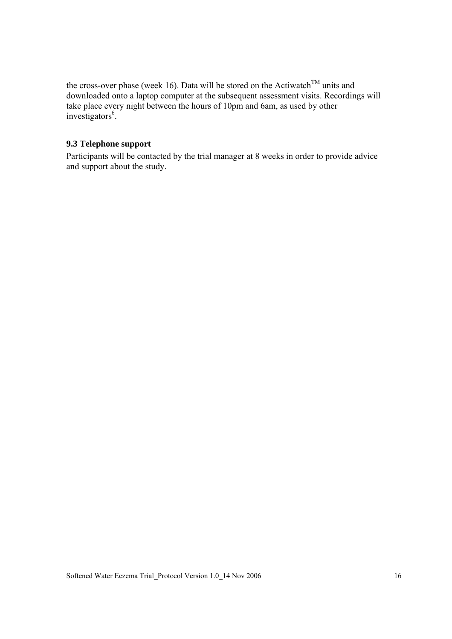the cross-over phase (week 16). Data will be stored on the Actiwatch<sup>TM</sup> units and downloaded onto a laptop computer at the subsequent assessment visits. Recordings will take place every night between the hours of 10pm and 6am, as used by other investigators<sup>6</sup>.

#### **9.3 Telephone support**

Participants will be contacted by the trial manager at 8 weeks in order to provide advice and support about the study.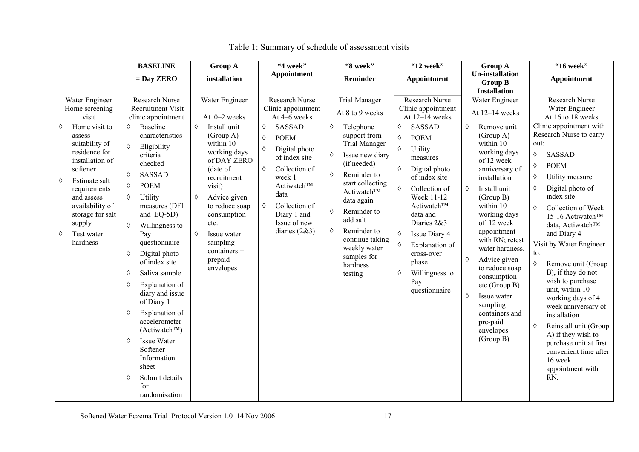|                                                                                                                                                                                                                                                                                 | <b>BASELINE</b>                                                                                                                                                                                                                                                                                                                                                                                                                                                                                                                                                                                  | <b>Group A</b>                                                                                                                                                                                                                                                                          | "4 week"                                                                                                                                                                                                                                                                   | "8 week"                                                                                                                                                                                                                                                                                                                                  | "12 week"                                                                                                                                                                                                                                                                                                                                                                    | Group A                                                                                                                                                                                                                                                                                                                                                                                                                                         | "16 week"                                                                                                                                                                                                                                                                                                                                                                                                                                                                                                                                                                                                                                                         |
|---------------------------------------------------------------------------------------------------------------------------------------------------------------------------------------------------------------------------------------------------------------------------------|--------------------------------------------------------------------------------------------------------------------------------------------------------------------------------------------------------------------------------------------------------------------------------------------------------------------------------------------------------------------------------------------------------------------------------------------------------------------------------------------------------------------------------------------------------------------------------------------------|-----------------------------------------------------------------------------------------------------------------------------------------------------------------------------------------------------------------------------------------------------------------------------------------|----------------------------------------------------------------------------------------------------------------------------------------------------------------------------------------------------------------------------------------------------------------------------|-------------------------------------------------------------------------------------------------------------------------------------------------------------------------------------------------------------------------------------------------------------------------------------------------------------------------------------------|------------------------------------------------------------------------------------------------------------------------------------------------------------------------------------------------------------------------------------------------------------------------------------------------------------------------------------------------------------------------------|-------------------------------------------------------------------------------------------------------------------------------------------------------------------------------------------------------------------------------------------------------------------------------------------------------------------------------------------------------------------------------------------------------------------------------------------------|-------------------------------------------------------------------------------------------------------------------------------------------------------------------------------------------------------------------------------------------------------------------------------------------------------------------------------------------------------------------------------------------------------------------------------------------------------------------------------------------------------------------------------------------------------------------------------------------------------------------------------------------------------------------|
|                                                                                                                                                                                                                                                                                 | $=$ Day ZERO                                                                                                                                                                                                                                                                                                                                                                                                                                                                                                                                                                                     | installation                                                                                                                                                                                                                                                                            | Appointment                                                                                                                                                                                                                                                                | <b>Reminder</b>                                                                                                                                                                                                                                                                                                                           | Appointment                                                                                                                                                                                                                                                                                                                                                                  | <b>Un-installation</b><br><b>Group B</b><br><b>Installation</b>                                                                                                                                                                                                                                                                                                                                                                                 | <b>Appointment</b>                                                                                                                                                                                                                                                                                                                                                                                                                                                                                                                                                                                                                                                |
| Water Engineer<br>Home screening<br>visit<br>Home visit to<br>♦<br>assess<br>suitability of<br>residence for<br>installation of<br>softener<br>♦<br>Estimate salt<br>requirements<br>and assess<br>availability of<br>storage for salt<br>supply<br>Test water<br>♦<br>hardness | <b>Research Nurse</b><br>Recruitment Visit<br>clinic appointment<br><b>Baseline</b><br>♦<br>characteristics<br>♦<br>Eligibility<br>criteria<br>checked<br><b>SASSAD</b><br>♦<br><b>POEM</b><br>♦<br>Utility<br>♦<br>measures (DFI<br>and EQ-5D)<br>♦<br>Willingness to<br>Pay<br>questionnaire<br>Digital photo<br>♦<br>of index site<br>♦<br>Saliva sample<br>Explanation of<br>♦<br>diary and issue<br>of Diary 1<br>Explanation of<br>♦<br>accelerometer<br>(Actiwatch <sup>TM</sup> )<br>Issue Water<br>♦<br>Softener<br>Information<br>sheet<br>Submit details<br>♦<br>for<br>randomisation | Water Engineer<br>At 0-2 weeks<br>♦<br>Install unit<br>(Group A)<br>within 10<br>working days<br>of DAY ZERO<br>(date of<br>recruitment<br>visit)<br>Advice given<br>♦<br>to reduce soap<br>consumption<br>etc.<br>♦<br>Issue water<br>sampling<br>containers +<br>prepaid<br>envelopes | <b>Research Nurse</b><br>Clinic appointment<br>At 4-6 weeks<br><b>SASSAD</b><br>♦<br><b>POEM</b><br>♦<br>Digital photo<br>♦<br>of index site<br>♦<br>Collection of<br>week 1<br>Actiwatch™<br>data<br>Collection of<br>♦<br>Diary 1 and<br>Issue of new<br>diaries $(2&3)$ | <b>Trial Manager</b><br>At 8 to 9 weeks<br>♦<br>Telephone<br>support from<br><b>Trial Manager</b><br>Issue new diary<br>♦<br>(if needed)<br>Reminder to<br>♦<br>start collecting<br>Actiwatch™<br>data again<br>Reminder to<br>♦<br>add salt<br>Reminder to<br>♦<br>continue taking<br>weekly water<br>samples for<br>hardness<br>testing | Research Nurse<br>Clinic appointment<br>At 12-14 weeks<br><b>SASSAD</b><br>$\Diamond$<br><b>POEM</b><br>♦<br>♦<br>Utility<br>measures<br>Digital photo<br>♦<br>of index site<br>♦<br>Collection of<br>Week 11-12<br>Actiwatch™<br>data and<br>Diaries 2&3<br>Issue Diary 4<br>♦<br>♦<br>Explanation of<br>cross-over<br>phase<br>Willingness to<br>♦<br>Pay<br>questionnaire | Water Engineer<br>At 12-14 weeks<br>♦<br>Remove unit<br>(Group A)<br>within 10<br>working days<br>of 12 week<br>anniversary of<br>installation<br>Install unit<br>♦<br>(Group B)<br>within 10<br>working days<br>of 12 week<br>appointment<br>with RN; retest<br>water hardness.<br>Advice given<br>♦<br>to reduce soap<br>consumption<br>etc (Group B)<br>♦<br>Issue water<br>sampling<br>containers and<br>pre-paid<br>envelopes<br>(Group B) | <b>Research Nurse</b><br>Water Engineer<br>At 16 to 18 weeks<br>Clinic appointment with<br>Research Nurse to carry<br>out:<br><b>SASSAD</b><br>$\Diamond$<br><b>POEM</b><br>♦<br>Utility measure<br>♦<br>Digital photo of<br>♦<br>index site<br>Collection of Week<br>♦<br>15-16 Actiwatch™<br>data, Actiwatch™<br>and Diary 4<br>Visit by Water Engineer<br>to:<br>♦<br>Remove unit (Group<br>B), if they do not<br>wish to purchase<br>unit, within 10<br>working days of 4<br>week anniversary of<br>installation<br>Reinstall unit (Group<br>♦<br>A) if they wish to<br>purchase unit at first<br>convenient time after<br>16 week<br>appointment with<br>RN. |

|  | Table 1: Summary of schedule of assessment visits |  |
|--|---------------------------------------------------|--|
|--|---------------------------------------------------|--|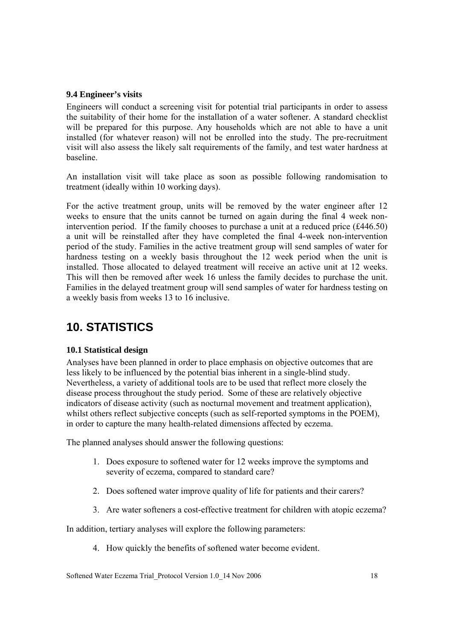#### **9.4 Engineer's visits**

Engineers will conduct a screening visit for potential trial participants in order to assess the suitability of their home for the installation of a water softener. A standard checklist will be prepared for this purpose. Any households which are not able to have a unit installed (for whatever reason) will not be enrolled into the study. The pre-recruitment visit will also assess the likely salt requirements of the family, and test water hardness at baseline.

An installation visit will take place as soon as possible following randomisation to treatment (ideally within 10 working days).

For the active treatment group, units will be removed by the water engineer after 12 weeks to ensure that the units cannot be turned on again during the final 4 week nonintervention period. If the family chooses to purchase a unit at a reduced price (£446.50) a unit will be reinstalled after they have completed the final 4-week non-intervention period of the study. Families in the active treatment group will send samples of water for hardness testing on a weekly basis throughout the 12 week period when the unit is installed. Those allocated to delayed treatment will receive an active unit at 12 weeks. This will then be removed after week 16 unless the family decides to purchase the unit. Families in the delayed treatment group will send samples of water for hardness testing on a weekly basis from weeks 13 to 16 inclusive.

# **10. STATISTICS**

### **10.1 Statistical design**

Analyses have been planned in order to place emphasis on objective outcomes that are less likely to be influenced by the potential bias inherent in a single-blind study. Nevertheless, a variety of additional tools are to be used that reflect more closely the disease process throughout the study period. Some of these are relatively objective indicators of disease activity (such as nocturnal movement and treatment application), whilst others reflect subjective concepts (such as self-reported symptoms in the POEM), in order to capture the many health-related dimensions affected by eczema.

The planned analyses should answer the following questions:

- 1. Does exposure to softened water for 12 weeks improve the symptoms and severity of eczema, compared to standard care?
- 2. Does softened water improve quality of life for patients and their carers?
- 3. Are water softeners a cost-effective treatment for children with atopic eczema?

In addition, tertiary analyses will explore the following parameters:

4. How quickly the benefits of softened water become evident.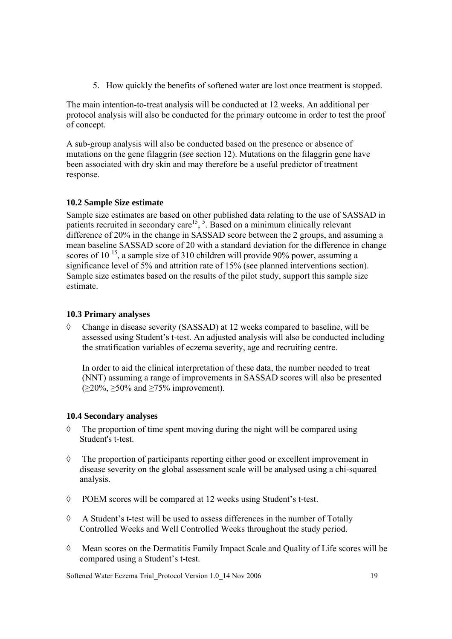5. How quickly the benefits of softened water are lost once treatment is stopped.

The main intention-to-treat analysis will be conducted at 12 weeks. An additional per protocol analysis will also be conducted for the primary outcome in order to test the proof of concept.

A sub-group analysis will also be conducted based on the presence or absence of mutations on the gene filaggrin (*see* section 12). Mutations on the filaggrin gene have been associated with dry skin and may therefore be a useful predictor of treatment response.

### **10.2 Sample Size estimate**

Sample size estimates are based on other published data relating to the use of SASSAD in patients recruited in secondary care<sup>15</sup>,  $\overline{5}$ . Based on a minimum clinically relevant difference of 20% in the change in SASSAD score between the 2 groups, and assuming a mean baseline SASSAD score of 20 with a standard deviation for the difference in change scores of  $10^{-15}$ , a sample size of 310 children will provide 90% power, assuming a significance level of 5% and attrition rate of 15% (see planned interventions section). Sample size estimates based on the results of the pilot study, support this sample size estimate.

### **10.3 Primary analyses**

◊ Change in disease severity (SASSAD) at 12 weeks compared to baseline, will be assessed using Student's t-test. An adjusted analysis will also be conducted including the stratification variables of eczema severity, age and recruiting centre.

In order to aid the clinical interpretation of these data, the number needed to treat (NNT) assuming a range of improvements in SASSAD scores will also be presented  $(\geq 20\%, \geq 50\%$  and  $\geq 75\%$  improvement).

#### **10.4 Secondary analyses**

- $\Diamond$  The proportion of time spent moving during the night will be compared using Student's t-test.
- ◊ The proportion of participants reporting either good or excellent improvement in disease severity on the global assessment scale will be analysed using a chi-squared analysis.
- ◊ POEM scores will be compared at 12 weeks using Student's t-test.
- ◊ A Student's t-test will be used to assess differences in the number of Totally Controlled Weeks and Well Controlled Weeks throughout the study period.
- ◊ Mean scores on the Dermatitis Family Impact Scale and Quality of Life scores will be compared using a Student's t-test.

Softened Water Eczema Trial\_Protocol Version 1.0\_14 Nov 2006 19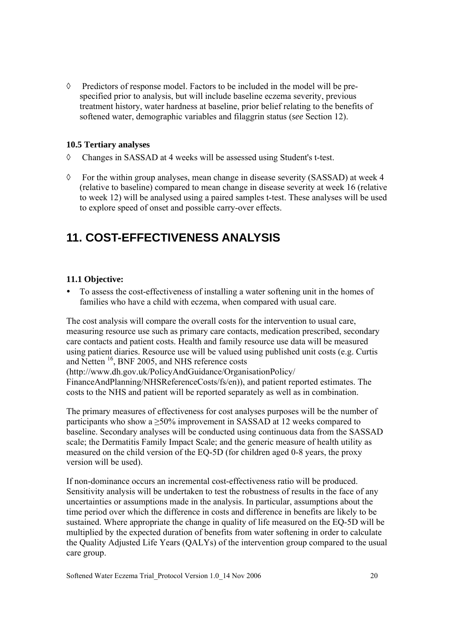$\Diamond$  Predictors of response model. Factors to be included in the model will be prespecified prior to analysis, but will include baseline eczema severity, previous treatment history, water hardness at baseline, prior belief relating to the benefits of softened water, demographic variables and filaggrin status (*see* Section 12).

#### **10.5 Tertiary analyses**

- ◊ Changes in SASSAD at 4 weeks will be assessed using Student's t-test.
- ◊ For the within group analyses, mean change in disease severity (SASSAD) at week 4 (relative to baseline) compared to mean change in disease severity at week 16 (relative to week 12) will be analysed using a paired samples t-test. These analyses will be used to explore speed of onset and possible carry-over effects.

# **11. COST-EFFECTIVENESS ANALYSIS**

### **11.1 Objective:**

To assess the cost-effectiveness of installing a water softening unit in the homes of families who have a child with eczema, when compared with usual care.

The cost analysis will compare the overall costs for the intervention to usual care, measuring resource use such as primary care contacts, medication prescribed, secondary care contacts and patient costs. Health and family resource use data will be measured using patient diaries. Resource use will be valued using published unit costs (e.g. Curtis and Netten <sup>16</sup>, BNF 2005, and NHS reference costs

(http://www.dh.gov.uk/PolicyAndGuidance/OrganisationPolicy/

FinanceAndPlanning/NHSReferenceCosts/fs/en)), and patient reported estimates. The costs to the NHS and patient will be reported separately as well as in combination.

The primary measures of effectiveness for cost analyses purposes will be the number of participants who show a  $\geq$ 50% improvement in SASSAD at 12 weeks compared to baseline. Secondary analyses will be conducted using continuous data from the SASSAD scale; the Dermatitis Family Impact Scale; and the generic measure of health utility as measured on the child version of the EQ-5D (for children aged 0-8 years, the proxy version will be used).

If non-dominance occurs an incremental cost-effectiveness ratio will be produced. Sensitivity analysis will be undertaken to test the robustness of results in the face of any uncertainties or assumptions made in the analysis. In particular, assumptions about the time period over which the difference in costs and difference in benefits are likely to be sustained. Where appropriate the change in quality of life measured on the EQ-5D will be multiplied by the expected duration of benefits from water softening in order to calculate the Quality Adjusted Life Years (QALYs) of the intervention group compared to the usual care group.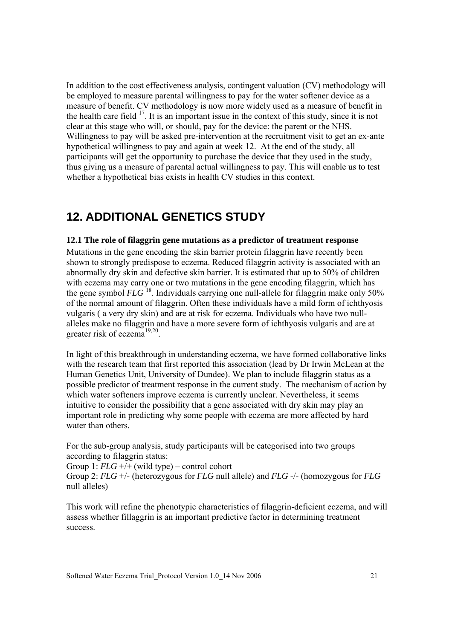In addition to the cost effectiveness analysis, contingent valuation (CV) methodology will be employed to measure parental willingness to pay for the water softener device as a measure of benefit. CV methodology is now more widely used as a measure of benefit in the health care field <sup>17</sup>. It is an important issue in the context of this study, since it is not clear at this stage who will, or should, pay for the device: the parent or the NHS. Willingness to pay will be asked pre-intervention at the recruitment visit to get an ex-ante hypothetical willingness to pay and again at week 12. At the end of the study, all participants will get the opportunity to purchase the device that they used in the study, thus giving us a measure of parental actual willingness to pay. This will enable us to test whether a hypothetical bias exists in health CV studies in this context.

## **12. ADDITIONAL GENETICS STUDY**

#### **12.1 The role of filaggrin gene mutations as a predictor of treatment response**

Mutations in the gene encoding the skin barrier protein filaggrin have recently been shown to strongly predispose to eczema. Reduced filaggrin activity is associated with an abnormally dry skin and defective skin barrier. It is estimated that up to 50% of children with eczema may carry one or two mutations in the gene encoding filaggrin, which has the gene symbol *FLG*<sup>18</sup>. Individuals carrying one null-allele for filaggrin make only 50% of the normal amount of filaggrin. Often these individuals have a mild form of ichthyosis vulgaris ( a very dry skin) and are at risk for eczema. Individuals who have two nullalleles make no filaggrin and have a more severe form of ichthyosis vulgaris and are at greater risk of eczema $^{19,20}$ .

In light of this breakthrough in understanding eczema, we have formed collaborative links with the research team that first reported this association (lead by Dr Irwin McLean at the Human Genetics Unit, University of Dundee). We plan to include filaggrin status as a possible predictor of treatment response in the current study. The mechanism of action by which water softeners improve eczema is currently unclear. Nevertheless, it seems intuitive to consider the possibility that a gene associated with dry skin may play an important role in predicting why some people with eczema are more affected by hard water than others.

For the sub-group analysis, study participants will be categorised into two groups according to filaggrin status:

Group 1: *FLG* +/+ (wild type) – control cohort Group 2: *FLG* +/- (heterozygous for *FLG* null allele) and *FLG* -/- (homozygous for *FLG* null alleles)

This work will refine the phenotypic characteristics of filaggrin-deficient eczema, and will assess whether fillaggrin is an important predictive factor in determining treatment success.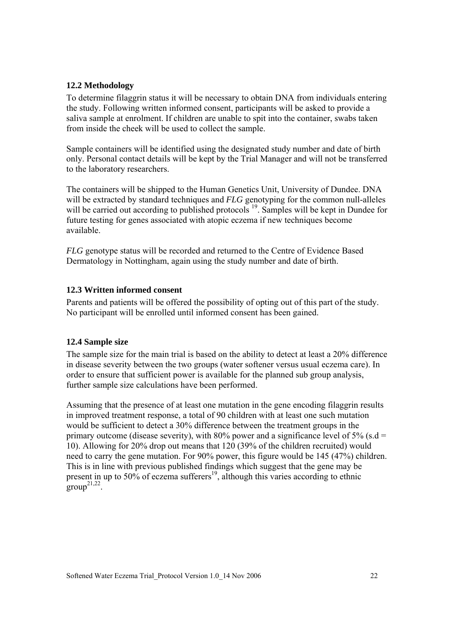#### **12.2 Methodology**

To determine filaggrin status it will be necessary to obtain DNA from individuals entering the study. Following written informed consent, participants will be asked to provide a saliva sample at enrolment. If children are unable to spit into the container, swabs taken from inside the cheek will be used to collect the sample.

Sample containers will be identified using the designated study number and date of birth only. Personal contact details will be kept by the Trial Manager and will not be transferred to the laboratory researchers.

The containers will be shipped to the Human Genetics Unit, University of Dundee. DNA will be extracted by standard techniques and *FLG* genotyping for the common null-alleles will be carried out according to published protocols <sup>19</sup>. Samples will be kept in Dundee for future testing for genes associated with atopic eczema if new techniques become available.

*FLG* genotype status will be recorded and returned to the Centre of Evidence Based Dermatology in Nottingham, again using the study number and date of birth.

### **12.3 Written informed consent**

Parents and patients will be offered the possibility of opting out of this part of the study. No participant will be enrolled until informed consent has been gained.

#### **12.4 Sample size**

The sample size for the main trial is based on the ability to detect at least a 20% difference in disease severity between the two groups (water softener versus usual eczema care). In order to ensure that sufficient power is available for the planned sub group analysis, further sample size calculations have been performed.

Assuming that the presence of at least one mutation in the gene encoding filaggrin results in improved treatment response, a total of 90 children with at least one such mutation would be sufficient to detect a 30% difference between the treatment groups in the primary outcome (disease severity), with 80% power and a significance level of 5% (s.d = 10). Allowing for 20% drop out means that 120 (39% of the children recruited) would need to carry the gene mutation. For 90% power, this figure would be 145 (47%) children. This is in line with previous published findings which suggest that the gene may be present in up to 50% of eczema sufferers<sup>19</sup>, although this varies according to ethnic  $\text{groun}^{21,22}$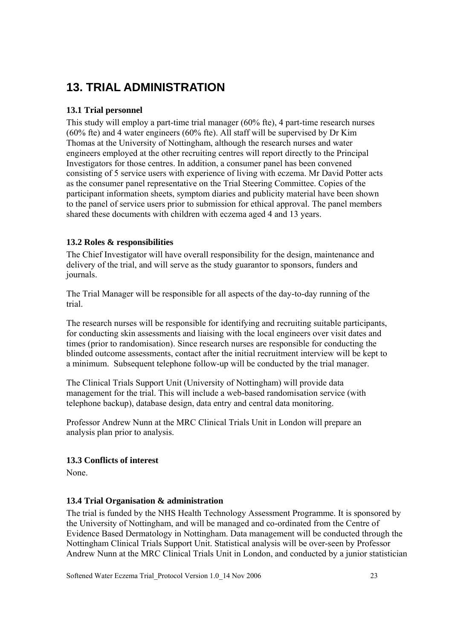# **13. TRIAL ADMINISTRATION**

### **13.1 Trial personnel**

This study will employ a part-time trial manager (60% fte), 4 part-time research nurses (60% fte) and 4 water engineers (60% fte). All staff will be supervised by Dr Kim Thomas at the University of Nottingham, although the research nurses and water engineers employed at the other recruiting centres will report directly to the Principal Investigators for those centres. In addition, a consumer panel has been convened consisting of 5 service users with experience of living with eczema. Mr David Potter acts as the consumer panel representative on the Trial Steering Committee. Copies of the participant information sheets, symptom diaries and publicity material have been shown to the panel of service users prior to submission for ethical approval. The panel members shared these documents with children with eczema aged 4 and 13 years.

### **13.2 Roles & responsibilities**

The Chief Investigator will have overall responsibility for the design, maintenance and delivery of the trial, and will serve as the study guarantor to sponsors, funders and journals.

The Trial Manager will be responsible for all aspects of the day-to-day running of the trial.

The research nurses will be responsible for identifying and recruiting suitable participants, for conducting skin assessments and liaising with the local engineers over visit dates and times (prior to randomisation). Since research nurses are responsible for conducting the blinded outcome assessments, contact after the initial recruitment interview will be kept to a minimum. Subsequent telephone follow-up will be conducted by the trial manager.

The Clinical Trials Support Unit (University of Nottingham) will provide data management for the trial. This will include a web-based randomisation service (with telephone backup), database design, data entry and central data monitoring.

Professor Andrew Nunn at the MRC Clinical Trials Unit in London will prepare an analysis plan prior to analysis.

### **13.3 Conflicts of interest**

None.

### **13.4 Trial Organisation & administration**

The trial is funded by the NHS Health Technology Assessment Programme. It is sponsored by the University of Nottingham, and will be managed and co-ordinated from the Centre of Evidence Based Dermatology in Nottingham. Data management will be conducted through the Nottingham Clinical Trials Support Unit. Statistical analysis will be over-seen by Professor Andrew Nunn at the MRC Clinical Trials Unit in London, and conducted by a junior statistician

Softened Water Eczema Trial\_Protocol Version 1.0\_14 Nov 2006 23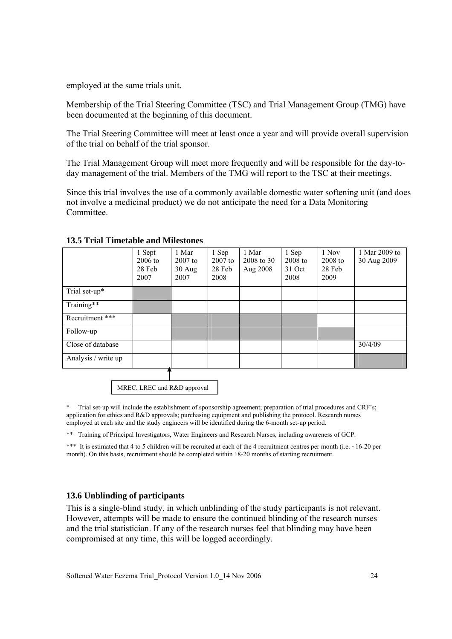employed at the same trials unit.

Membership of the Trial Steering Committee (TSC) and Trial Management Group (TMG) have been documented at the beginning of this document.

The Trial Steering Committee will meet at least once a year and will provide overall supervision of the trial on behalf of the trial sponsor.

The Trial Management Group will meet more frequently and will be responsible for the day-today management of the trial. Members of the TMG will report to the TSC at their meetings.

Since this trial involves the use of a commonly available domestic water softening unit (and does not involve a medicinal product) we do not anticipate the need for a Data Monitoring Committee.

|                     | 1 Sept<br>$2006$ to<br>28 Feb<br>2007 | 1 Mar<br>$2007$ to<br>$30$ Aug<br>2007 | 1 Sep<br>$2007$ to<br>28 Feb<br>2008 | 1 Mar<br>2008 to 30<br>Aug 2008 | 1 Sep<br>$2008$ to<br>31 Oct<br>2008 | 1 Nov<br>$2008$ to<br>28 Feb<br>2009 | 1 Mar 2009 to<br>30 Aug 2009 |
|---------------------|---------------------------------------|----------------------------------------|--------------------------------------|---------------------------------|--------------------------------------|--------------------------------------|------------------------------|
| Trial set-up*       |                                       |                                        |                                      |                                 |                                      |                                      |                              |
| Training**          |                                       |                                        |                                      |                                 |                                      |                                      |                              |
| Recruitment ***     |                                       |                                        |                                      |                                 |                                      |                                      |                              |
| Follow-up           |                                       |                                        |                                      |                                 |                                      |                                      |                              |
| Close of database   |                                       |                                        |                                      |                                 |                                      |                                      | 30/4/09                      |
| Analysis / write up |                                       |                                        |                                      |                                 |                                      |                                      |                              |

#### **13.5 Trial Timetable and Milestones**

MREC, LREC and R&D approval

Trial set-up will include the establishment of sponsorship agreement; preparation of trial procedures and CRF's; application for ethics and R&D approvals; purchasing equipment and publishing the protocol. Research nurses employed at each site and the study engineers will be identified during the 6-month set-up period.

\*\* Training of Principal Investigators, Water Engineers and Research Nurses, including awareness of GCP.

\*\*\* It is estimated that 4 to 5 children will be recruited at each of the 4 recruitment centres per month (i.e.  $\sim$ 16-20 per month). On this basis, recruitment should be completed within 18-20 months of starting recruitment.

#### **13.6 Unblinding of participants**

This is a single-blind study, in which unblinding of the study participants is not relevant. However, attempts will be made to ensure the continued blinding of the research nurses and the trial statistician. If any of the research nurses feel that blinding may have been compromised at any time, this will be logged accordingly.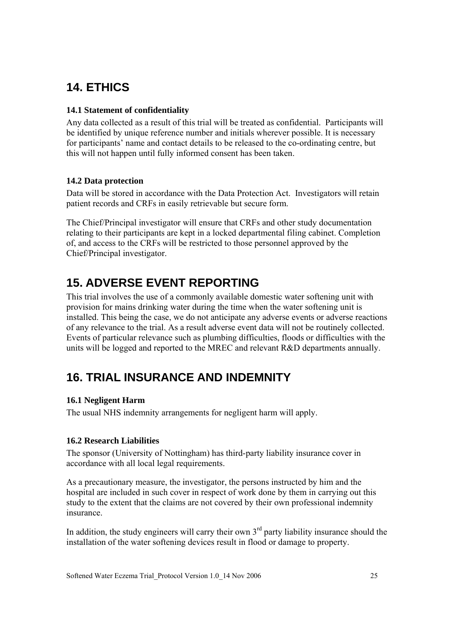# **14. ETHICS**

### **14.1 Statement of confidentiality**

Any data collected as a result of this trial will be treated as confidential. Participants will be identified by unique reference number and initials wherever possible. It is necessary for participants' name and contact details to be released to the co-ordinating centre, but this will not happen until fully informed consent has been taken.

### **14.2 Data protection**

Data will be stored in accordance with the Data Protection Act. Investigators will retain patient records and CRFs in easily retrievable but secure form.

The Chief/Principal investigator will ensure that CRFs and other study documentation relating to their participants are kept in a locked departmental filing cabinet. Completion of, and access to the CRFs will be restricted to those personnel approved by the Chief/Principal investigator.

# **15. ADVERSE EVENT REPORTING**

This trial involves the use of a commonly available domestic water softening unit with provision for mains drinking water during the time when the water softening unit is installed. This being the case, we do not anticipate any adverse events or adverse reactions of any relevance to the trial. As a result adverse event data will not be routinely collected. Events of particular relevance such as plumbing difficulties, floods or difficulties with the units will be logged and reported to the MREC and relevant R&D departments annually.

# **16. TRIAL INSURANCE AND INDEMNITY**

### **16.1 Negligent Harm**

The usual NHS indemnity arrangements for negligent harm will apply.

### **16.2 Research Liabilities**

The sponsor (University of Nottingham) has third-party liability insurance cover in accordance with all local legal requirements.

As a precautionary measure, the investigator, the persons instructed by him and the hospital are included in such cover in respect of work done by them in carrying out this study to the extent that the claims are not covered by their own professional indemnity insurance.

In addition, the study engineers will carry their own  $3<sup>rd</sup>$  party liability insurance should the installation of the water softening devices result in flood or damage to property.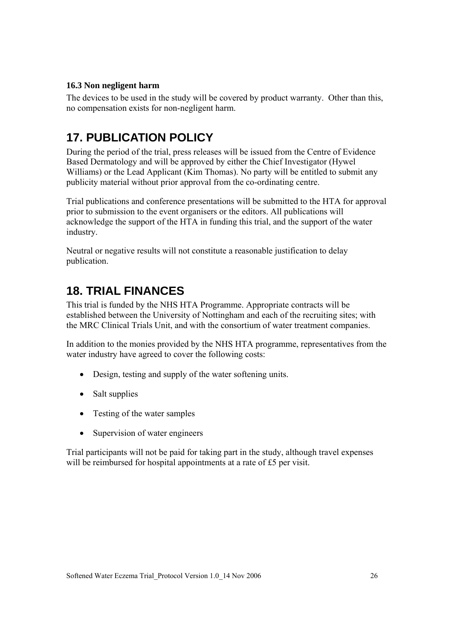### **16.3 Non negligent harm**

The devices to be used in the study will be covered by product warranty. Other than this, no compensation exists for non-negligent harm.

# **17. PUBLICATION POLICY**

During the period of the trial, press releases will be issued from the Centre of Evidence Based Dermatology and will be approved by either the Chief Investigator (Hywel Williams) or the Lead Applicant (Kim Thomas). No party will be entitled to submit any publicity material without prior approval from the co-ordinating centre.

Trial publications and conference presentations will be submitted to the HTA for approval prior to submission to the event organisers or the editors. All publications will acknowledge the support of the HTA in funding this trial, and the support of the water industry.

Neutral or negative results will not constitute a reasonable justification to delay publication.

# **18. TRIAL FINANCES**

This trial is funded by the NHS HTA Programme. Appropriate contracts will be established between the University of Nottingham and each of the recruiting sites; with the MRC Clinical Trials Unit, and with the consortium of water treatment companies.

In addition to the monies provided by the NHS HTA programme, representatives from the water industry have agreed to cover the following costs:

- Design, testing and supply of the water softening units.
- Salt supplies
- Testing of the water samples
- Supervision of water engineers

Trial participants will not be paid for taking part in the study, although travel expenses will be reimbursed for hospital appointments at a rate of £5 per visit.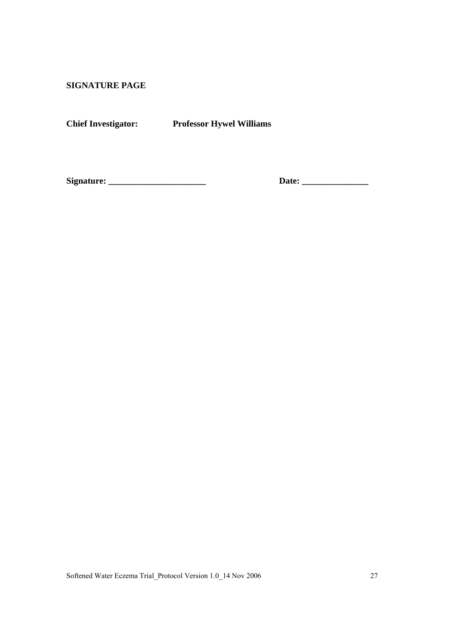**SIGNATURE PAGE** 

**Chief Investigator: Professor Hywel Williams** 

**Signature: \_\_\_\_\_\_\_\_\_\_\_\_\_\_\_\_\_\_\_\_\_\_ Date: \_\_\_\_\_\_\_\_\_\_\_\_\_\_\_**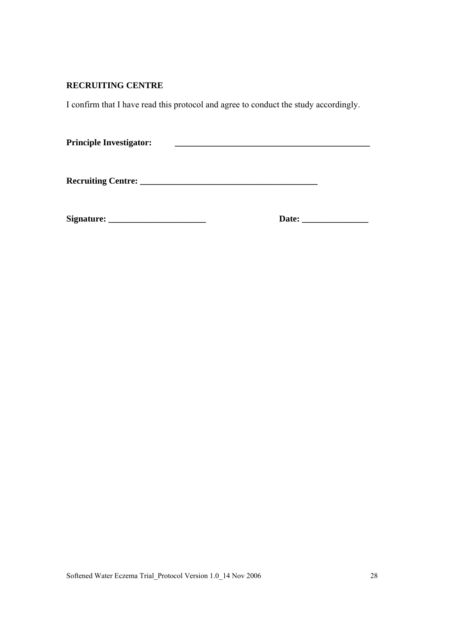### **RECRUITING CENTRE**

I confirm that I have read this protocol and agree to conduct the study accordingly.

| <b>Principle Investigator:</b> |  |
|--------------------------------|--|
|--------------------------------|--|

**Recruiting Centre: \_\_\_\_\_\_\_\_\_\_\_\_\_\_\_\_\_\_\_\_\_\_\_\_\_\_\_\_\_\_\_\_\_\_\_\_\_\_\_\_** 

**Signature: \_\_\_\_\_\_\_\_\_\_\_\_\_\_\_\_\_\_\_\_\_\_ Date: \_\_\_\_\_\_\_\_\_\_\_\_\_\_\_**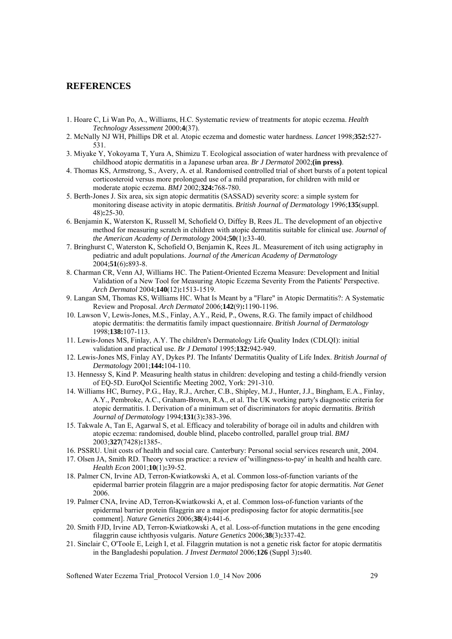#### **REFERENCES**

- 1. Hoare C, Li Wan Po, A., Williams, H.C. Systematic review of treatments for atopic eczema. *Health Technology Assessment* 2000;**4**(37).
- 2. McNally NJ WH, Phillips DR et al. Atopic eczema and domestic water hardness. *Lancet* 1998;**352:**527- 531.
- 3. Miyake Y, Yokoyama T, Yura A, Shimizu T. Ecological association of water hardness with prevalence of childhood atopic dermatitis in a Japanese urban area. *Br J Dermatol* 2002;**(in press)**.
- 4. Thomas KS, Armstrong, S., Avery, A. et al. Randomised controlled trial of short bursts of a potent topical corticosteroid versus more prolongued use of a mild preparation, for children with mild or moderate atopic eczema. *BMJ* 2002;**324:**768-780.
- 5. Berth-Jones J. Six area, six sign atopic dermatitis (SASSAD) severity score: a simple system for monitoring disease activity in atopic dermatitis. *British Journal of Dermatology* 1996;**135**(suppl. 48)**:**25-30.
- 6. Benjamin K, Waterston K, Russell M, Schofield O, Diffey B, Rees JL. The development of an objective method for measuring scratch in children with atopic dermatitis suitable for clinical use. *Journal of the American Academy of Dermatology* 2004;**50**(1)**:**33-40.
- 7. Bringhurst C, Waterston K, Schofield O, Benjamin K, Rees JL. Measurement of itch using actigraphy in pediatric and adult populations. *Journal of the American Academy of Dermatology* 2004;**51**(6)**:**893-8.
- 8. Charman CR, Venn AJ, Williams HC. The Patient-Oriented Eczema Measure: Development and Initial Validation of a New Tool for Measuring Atopic Eczema Severity From the Patients' Perspective. *Arch Dermatol* 2004;**140**(12)**:**1513-1519.
- 9. Langan SM, Thomas KS, Williams HC. What Is Meant by a "Flare" in Atopic Dermatitis?: A Systematic Review and Proposal. *Arch Dermatol* 2006;**142**(9)**:**1190-1196.
- 10. Lawson V, Lewis-Jones, M.S., Finlay, A.Y., Reid, P., Owens, R.G. The family impact of childhood atopic dermatitis: the dermatitis family impact questionnaire. *British Journal of Dermatology* 1998;**138:**107-113.
- 11. Lewis-Jones MS, Finlay, A.Y. The children's Dermatology Life Quality Index (CDLQI): initial validation and practical use. *Br J Dematol* 1995;**132:**942-949.
- 12. Lewis-Jones MS, Finlay AY, Dykes PJ. The Infants' Dermatitis Quality of Life Index. *British Journal of Dermatology* 2001;**144:**104-110.
- 13. Hennessy S, Kind P. Measuring health status in children: developing and testing a child-friendly version of EQ-5D. EuroQol Scientific Meeting 2002, York: 291-310.
- 14. Williams HC, Burney, P.G., Hay, R.J., Archer, C.B., Shipley, M.J., Hunter, J.J., Bingham, E.A., Finlay, A.Y., Pembroke, A.C., Graham-Brown, R.A., et al. The UK working party's diagnostic criteria for atopic dermatitis. I. Derivation of a minimum set of discriminators for atopic dermatitis. *British Journal of Dermatology* 1994;**131**(3)**:**383-396.
- 15. Takwale A, Tan E, Agarwal S, et al. Efficacy and tolerability of borage oil in adults and children with atopic eczema: randomised, double blind, placebo controlled, parallel group trial. *BMJ* 2003;**327**(7428)**:**1385-.
- 16. PSSRU. Unit costs of health and social care. Canterbury: Personal social services research unit, 2004.
- 17. Olsen JA, Smith RD. Theory versus practice: a review of 'willingness-to-pay' in health and health care. *Health Econ* 2001;**10**(1)**:**39-52.
- 18. Palmer CN, Irvine AD, Terron-Kwiatkowski A, et al. Common loss-of-function variants of the epidermal barrier protein filaggrin are a major predisposing factor for atopic dermatitis. *Nat Genet* 2006.
- 19. Palmer CNA, Irvine AD, Terron-Kwiatkowski A, et al. Common loss-of-function variants of the epidermal barrier protein filaggrin are a major predisposing factor for atopic dermatitis.[see comment]. *Nature Genetics* 2006;**38**(4)**:**441-6.
- 20. Smith FJD, Irvine AD, Terron-Kwiatkowski A, et al. Loss-of-function mutations in the gene encoding filaggrin cause ichthyosis vulgaris. *Nature Genetics* 2006;**38**(3)**:**337-42.
- 21. Sinclair C, O'Toole E, Leigh I, et al. Filaggrin mutation is not a genetic risk factor for atopic dermatitis in the Bangladeshi population. *J Invest Dermatol* 2006;**126** (Suppl 3)**:**s40.

Softened Water Eczema Trial\_Protocol Version 1.0\_14 Nov 2006 29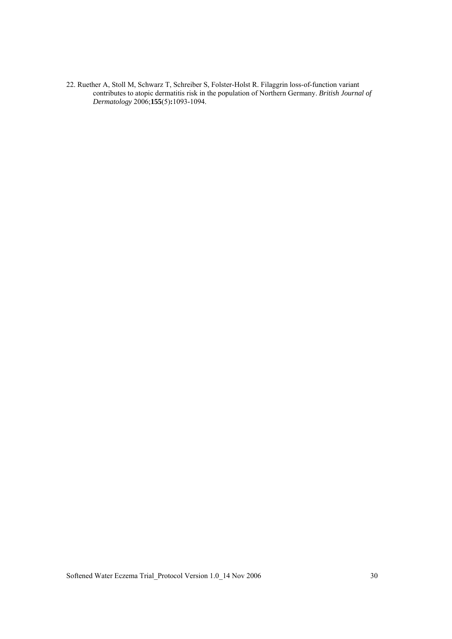22. Ruether A, Stoll M, Schwarz T, Schreiber S, Folster-Holst R. Filaggrin loss-of-function variant contributes to atopic dermatitis risk in the population of Northern Germany. *British Journal of Dermatology* 2006;**155**(5)**:**1093-1094.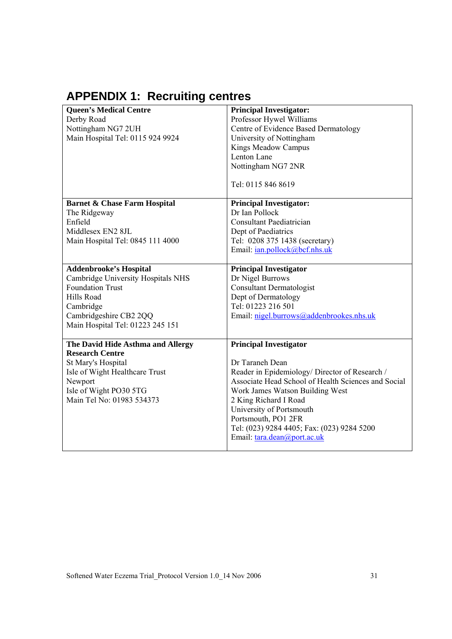# **APPENDIX 1: Recruiting centres**

| <b>Queen's Medical Centre</b>           | <b>Principal Investigator:</b>                      |
|-----------------------------------------|-----------------------------------------------------|
| Derby Road                              | Professor Hywel Williams                            |
| Nottingham NG7 2UH                      | Centre of Evidence Based Dermatology                |
| Main Hospital Tel: 0115 924 9924        | University of Nottingham                            |
|                                         | Kings Meadow Campus                                 |
|                                         | Lenton Lane                                         |
|                                         | Nottingham NG7 2NR                                  |
|                                         |                                                     |
|                                         | Tel: 0115 846 8619                                  |
|                                         |                                                     |
| <b>Barnet &amp; Chase Farm Hospital</b> | <b>Principal Investigator:</b>                      |
| The Ridgeway                            | Dr Ian Pollock                                      |
| Enfield                                 | <b>Consultant Paediatrician</b>                     |
| Middlesex EN2 8JL                       | Dept of Paediatrics                                 |
| Main Hospital Tel: 0845 111 4000        | Tel: 0208 375 1438 (secretary)                      |
|                                         | Email: <i>ian.pollock@bcf.nhs.uk</i>                |
|                                         |                                                     |
| <b>Addenbrooke's Hospital</b>           | <b>Principal Investigator</b>                       |
| Cambridge University Hospitals NHS      | Dr Nigel Burrows                                    |
| <b>Foundation Trust</b>                 | <b>Consultant Dermatologist</b>                     |
| Hills Road                              | Dept of Dermatology                                 |
| Cambridge                               | Tel: 01223 216 501                                  |
| Cambridgeshire CB2 2QQ                  | Email: nigel.burrows@addenbrookes.nhs.uk            |
| Main Hospital Tel: 01223 245 151        |                                                     |
|                                         |                                                     |
| The David Hide Asthma and Allergy       | <b>Principal Investigator</b>                       |
| <b>Research Centre</b>                  |                                                     |
| St Mary's Hospital                      | Dr Taraneh Dean                                     |
| Isle of Wight Healthcare Trust          | Reader in Epidemiology/ Director of Research /      |
| Newport                                 | Associate Head School of Health Sciences and Social |
| Isle of Wight PO30 5TG                  | Work James Watson Building West                     |
| Main Tel No: 01983 534373               | 2 King Richard I Road                               |
|                                         | University of Portsmouth                            |
|                                         | Portsmouth, PO1 2FR                                 |
|                                         | Tel: (023) 9284 4405; Fax: (023) 9284 5200          |
|                                         | Email: tara.dean@port.ac.uk                         |
|                                         |                                                     |